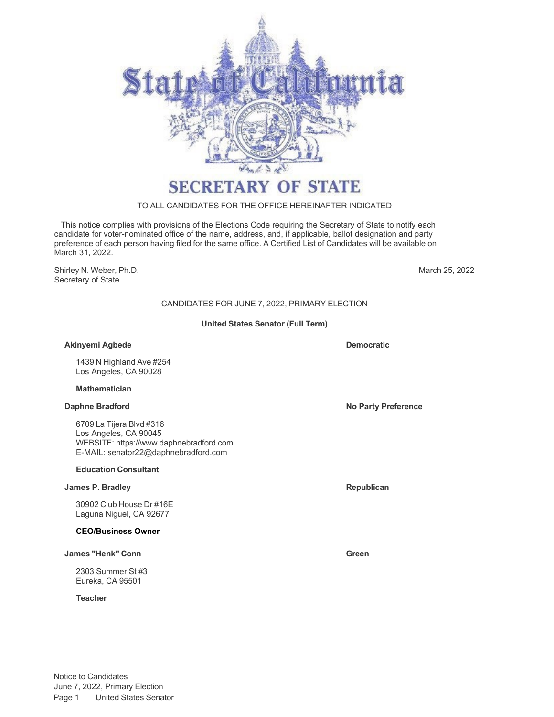

# **SECRETARY OF STATE**

### TO ALL CANDIDATES FOR THE OFFICE HEREINAFTER INDICATED

This notice complies with provisions of the Elections Code requiring the Secretary of State to notify each candidate for voter-nominated office of the name, address, and, if applicable, ballot designation and party preference of each person having filed for the same office. A Certified List of Candidates will be available on March 31, 2022.

Shirley N. Weber, Ph.D. Secretary of State

March 25, 2022

# CANDIDATES FOR JUNE 7, 2022, PRIMARY ELECTION

### **United States Senator (Full Term)**

#### **Akinyemi Agbede Democratic**

1439 N Highland Ave #254 Los Angeles, CA 90028

#### **Mathematician**

6709 La Tijera Blvd #316 Los Angeles, CA 90045 WEBSITE[: https://www.daphnebradford.com](http://www.daphnebradford.com/) E-MAIL: [senator22@daphnebradford.com](mailto:senator22@daphnebradford.com)

#### **Education Consultant**

#### **James P. Bradley Republican**

30902 Club House Dr #16E Laguna Niguel, CA 92677

#### **CEO/Business Owner**

# **James "Henk" Conn Green**

2303 Summer St #3 Eureka, CA 95501

### **Teacher**

**Daphne Bradford No Party Preference**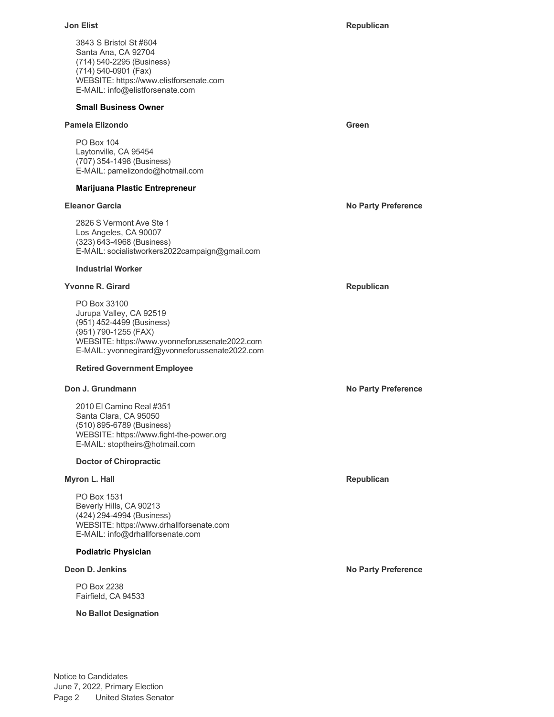3843 S Bristol St #604 Santa Ana, CA 92704 (714) 540-2295 (Business) (714) 540-0901 (Fax) WEBSITE[: https://www.elistforsenate.com](http://www.elistforsenate.com/) E-MAIL: [info@elistforsenate.com](mailto:info@elistforsenate.com)

# **Small Business Owner**

# **Pamela Elizondo Green**

PO Box 104 Laytonville, CA 95454 (707) 354-1498 (Business) E-MAIL: [pamelizondo@hotmail.com](mailto:pamelizondo@hotmail.com)

# **Marijuana Plastic Entrepreneur**

2826 S Vermont Ave Ste 1 Los Angeles, CA 90007 (323) 643-4968 (Business) E-MAIL: [socialistworkers2022campaign@gmail.com](mailto:socialistworkers2022campaign@gmail.com)

# **Industrial Worker**

# **Yvonne R. Girard Republican**

PO Box 33100 Jurupa Valley, CA 92519 (951) 452-4499 (Business) (951) 790-1255 (FAX) WEBSITE[: https://www.yvonneforussenate2022.com](http://www.yvonneforussenate2022.com/) E-MAIL: [yvonnegirard@yvonneforussenate2022.com](mailto:yvonnegirard@yvonneforussenate2022.com)

# **Retired Government Employee**

# **Don J.** Grundmann **No. 2 No. 2 No. 2 No. 2 No. 2 No. 2 No. 2 No. 2 No. 2 No. 2 No. 2 No. 2 No. 2 No. 2 No. 2 No. 2 No. 2 No. 2 No. 2 No. 2 No. 2 No. 2 No. 2 No. 2 No. 2**

2010 El Camino Real #351 Santa Clara, CA 95050 (510) 895-6789 (Business) WEBSITE[: https://www.fight-the-power.org](http://www.fight-the-power.org/) E-MAIL: [stoptheirs@hotmail.com](mailto:stoptheirs@hotmail.com)

# **Doctor of Chiropractic**

# **Myron L. Hall Republican**

PO Box 1531 Beverly Hills, CA 90213 (424) 294-4994 (Business) WEBSITE[: https://www.drhallforsenate.com](http://www.drhallforsenate.com/) E-MAIL: [info@drhallforsenate.com](mailto:info@drhallforsenate.com)

# **Podiatric Physician**

PO Box 2238 Fairfield, CA 94533

# **No Ballot Designation**

**Jon Elist Republican**

**Eleanor Garcia No Party Preference**

**Deon D. Jenkins No Party Preference**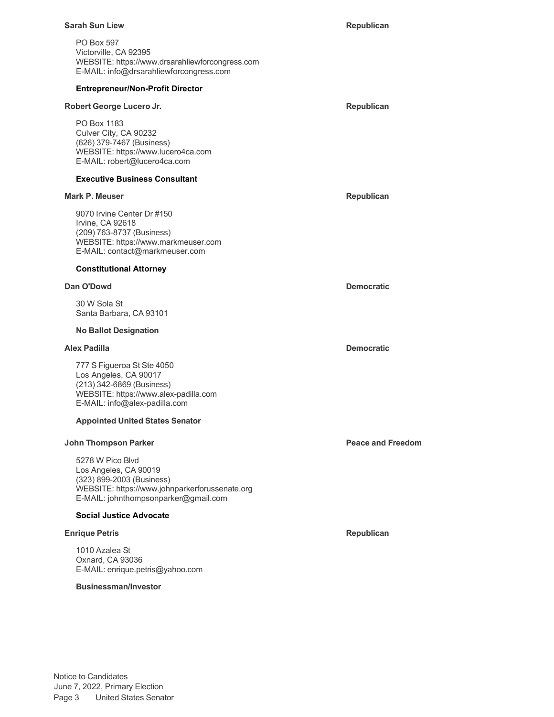#### **Sarah Sun Liew Republican**

PO Box 597 Victorville, CA 92395 WEBSITE[: https://www.drsarahliewforcongress.com](http://www.drsarahliewforcongress.com/) E-MAIL: [info@drsarahliewforcongress.com](mailto:info@drsarahliewforcongress.com)

#### **Entrepreneur/Non-Profit Director**

# **Robert George Lucero Jr. Republican** PO Box 1183 Culver City, CA 90232 (626) 379-7467 (Business) WEBSITE: [https://www.lucero4ca.com](http://www.lucero4ca.com/) E-MAIL: [robert@lucero4ca.com](mailto:robert@lucero4ca.com) **Executive Business Consultant**

#### **Mark P. Meuser Republican**

9070 Irvine Center Dr #150 Irvine, CA 92618 (209) 763-8737 (Business) WEBSITE: [https://www.markmeuser.com](http://www.markmeuser.com/) E-MAIL: [contact@markmeuser.com](mailto:contact@markmeuser.com)

#### **Constitutional Attorney**

#### **Dan O'Dowd Democratic**

30 W Sola St Santa Barbara, CA 93101

#### **No Ballot Designation**

777 S Figueroa St Ste 4050 Los Angeles, CA 90017 (213) 342-6869 (Business) WEBSITE[: https://www.alex-padilla.com](http://www.alex-padilla.com/) E-MAIL: [info@alex-padilla.com](mailto:info@alex-padilla.com)

#### **Appointed United States Senator**

#### **John Thompson Parker Peace and Freedom Peace Peace** and **Freedom**

5278 W Pico Blvd Los Angeles, CA 90019 (323) 899-2003 (Business) WEBSITE[: https://www.johnparkerforussenate.org](http://www.johnparkerforussenate.org/) E-MAIL: [johnthompsonparker@gmail.com](mailto:johnthompsonparker@gmail.com)

#### **Social Justice Advocate**

#### **Enrique Petris Republican**

1010 Azalea St Oxnard, CA 93036 E-MAIL: [enrique.petris@yahoo.com](mailto:enrique.petris@yahoo.com)

#### **Businessman/Investor**

**Alex Padilla Democratic**